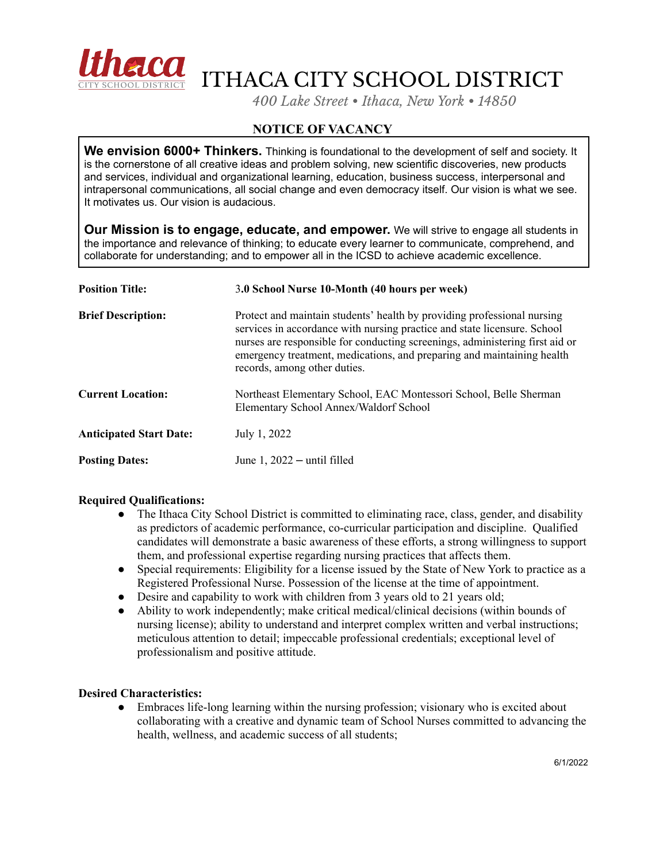

ITHACA CITY SCHOOL DISTRICT

*400 Lake Street • Ithaca, New York • 14850*

## **NOTICE OF VACANCY**

**We envision 6000+ Thinkers.** Thinking is foundational to the development of self and society. It is the cornerstone of all creative ideas and problem solving, new scientific discoveries, new products and services, individual and organizational learning, education, business success, interpersonal and intrapersonal communications, all social change and even democracy itself. Our vision is what we see. It motivates us. Our vision is audacious.

**Our Mission is to engage, educate, and empower.** We will strive to engage all students in the importance and relevance of thinking; to educate every learner to communicate, comprehend, and collaborate for understanding; and to empower all in the ICSD to achieve academic excellence.

| <b>Position Title:</b>         | 3.0 School Nurse 10-Month (40 hours per week)                                                                                                                                                                                                                                                                                                 |
|--------------------------------|-----------------------------------------------------------------------------------------------------------------------------------------------------------------------------------------------------------------------------------------------------------------------------------------------------------------------------------------------|
| <b>Brief Description:</b>      | Protect and maintain students' health by providing professional nursing<br>services in accordance with nursing practice and state licensure. School<br>nurses are responsible for conducting screenings, administering first aid or<br>emergency treatment, medications, and preparing and maintaining health<br>records, among other duties. |
| <b>Current Location:</b>       | Northeast Elementary School, EAC Montessori School, Belle Sherman<br>Elementary School Annex/Waldorf School                                                                                                                                                                                                                                   |
| <b>Anticipated Start Date:</b> | July 1, 2022                                                                                                                                                                                                                                                                                                                                  |
| <b>Posting Dates:</b>          | June $1, 2022$ – until filled                                                                                                                                                                                                                                                                                                                 |

## **Required Qualifications:**

- The Ithaca City School District is committed to eliminating race, class, gender, and disability as predictors of academic performance, co-curricular participation and discipline. Qualified candidates will demonstrate a basic awareness of these efforts, a strong willingness to support them, and professional expertise regarding nursing practices that affects them.
- Special requirements: Eligibility for a license issued by the State of New York to practice as a Registered Professional Nurse. Possession of the license at the time of appointment.
- Desire and capability to work with children from 3 years old to 21 years old;
- Ability to work independently; make critical medical/clinical decisions (within bounds of nursing license); ability to understand and interpret complex written and verbal instructions; meticulous attention to detail; impeccable professional credentials; exceptional level of professionalism and positive attitude.

## **Desired Characteristics:**

• Embraces life-long learning within the nursing profession; visionary who is excited about collaborating with a creative and dynamic team of School Nurses committed to advancing the health, wellness, and academic success of all students;